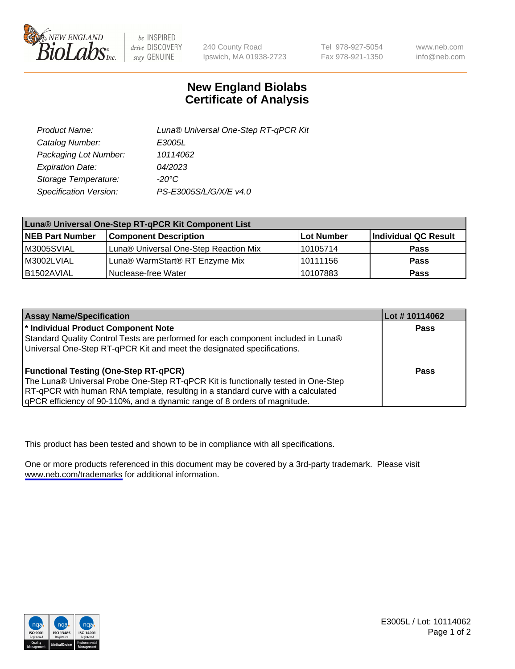

be INSPIRED drive DISCOVERY stay GENUINE

240 County Road Ipswich, MA 01938-2723 Tel 978-927-5054 Fax 978-921-1350

www.neb.com info@neb.com

## **New England Biolabs Certificate of Analysis**

| Product Name:           | Luna® Universal One-Step RT-qPCR Kit |  |
|-------------------------|--------------------------------------|--|
| Catalog Number:         | E3005L                               |  |
| Packaging Lot Number:   | 10114062                             |  |
| <b>Expiration Date:</b> | 04/2023                              |  |
| Storage Temperature:    | $-20^{\circ}$ C                      |  |
| Specification Version:  | PS-E3005S/L/G/X/E v4.0               |  |

| Luna® Universal One-Step RT-qPCR Kit Component List |                                       |            |                      |  |
|-----------------------------------------------------|---------------------------------------|------------|----------------------|--|
| <b>NEB Part Number</b>                              | <b>Component Description</b>          | Lot Number | Individual QC Result |  |
| M3005SVIAL                                          | Luna® Universal One-Step Reaction Mix | 10105714   | Pass                 |  |
| M3002LVIAL                                          | Luna® WarmStart® RT Enzyme Mix        | 10111156   | <b>Pass</b>          |  |
| B1502AVIAL                                          | Nuclease-free Water                   | 10107883   | <b>Pass</b>          |  |

| <b>Assay Name/Specification</b>                                                   | Lot #10114062 |
|-----------------------------------------------------------------------------------|---------------|
| * Individual Product Component Note                                               | <b>Pass</b>   |
| Standard Quality Control Tests are performed for each component included in Luna® |               |
| Universal One-Step RT-qPCR Kit and meet the designated specifications.            |               |
| <b>Functional Testing (One-Step RT-qPCR)</b>                                      | Pass          |
| The Luna® Universal Probe One-Step RT-qPCR Kit is functionally tested in One-Step |               |
| RT-qPCR with human RNA template, resulting in a standard curve with a calculated  |               |
| gPCR efficiency of 90-110%, and a dynamic range of 8 orders of magnitude.         |               |

This product has been tested and shown to be in compliance with all specifications.

One or more products referenced in this document may be covered by a 3rd-party trademark. Please visit <www.neb.com/trademarks>for additional information.